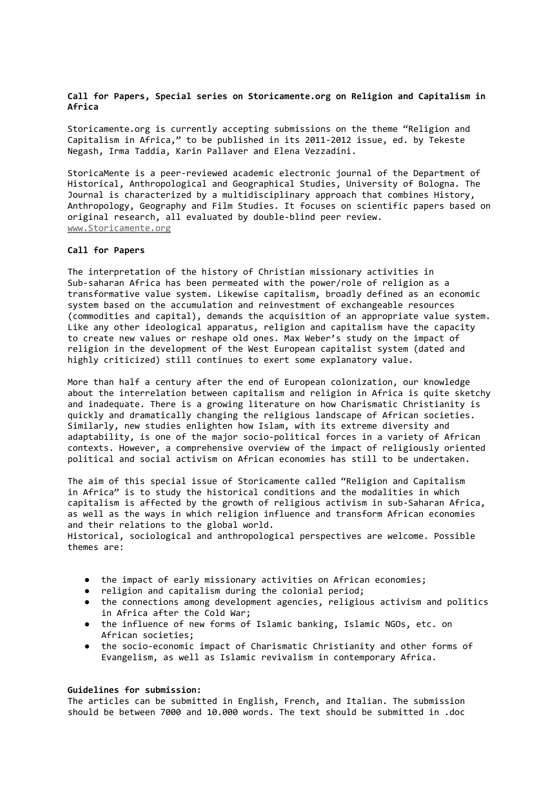## **Call for Papers, Special series on Storicamente.org on Religion and Capitalism in Africa**

Storicamente.org is currently accepting submissions on the theme "Religion and Capitalism in Africa," to be published in its 2011-2012 issue, ed. by Tekeste Negash, Irma Taddia, Karin Pallaver and Elena Vezzadini.

StoricaMente is a peer-reviewed academic electronic journal of the Department of Historical, Anthropological and Geographical Studies, University of Bologna. The Journal is characterized by a multidisciplinary approach that combines History, Anthropology, Geography and Film Studies. It focuses on scientific papers based on original research, all evaluated by double-blind peer review. [www.Storicamente.org](http://www.storicamente.org)

## **Call for Papers**

The interpretation of the history of Christian missionary activities in Sub-saharan Africa has been permeated with the power/role of religion as a transformative value system. Likewise capitalism, broadly defined as an economic system based on the accumulation and reinvestment of exchangeable resources (commodities and capital), demands the acquisition of an appropriate value system. Like any other ideological apparatus, religion and capitalism have the capacity to create new values or reshape old ones. Max Weber's study on the impact of religion in the development of the West European capitalist system (dated and highly criticized) still continues to exert some explanatory value.

More than half a century after the end of European colonization, our knowledge about the interrelation between capitalism and religion in Africa is quite sketchy and inadequate. There is a growing literature on how Charismatic Christianity is quickly and dramatically changing the religious landscape of African societies. Similarly, new studies enlighten how Islam, with its extreme diversity and adaptability, is one of the major socio-political forces in a variety of African contexts. However, a comprehensive overview of the impact of religiously oriented political and social activism on African economies has still to be undertaken.

The aim of this special issue of Storicamente called "Religion and Capitalism in Africa" is to study the historical conditions and the modalities in which capitalism is affected by the growth of religious activism in sub-Saharan Africa, as well as the ways in which religion influence and transform African economies and their relations to the global world.

Historical, sociological and anthropological perspectives are welcome. Possible themes are:

- the impact of early missionary activities on African economies;
- religion and capitalism during the colonial period;
- the connections among development agencies, religious activism and politics in Africa after the Cold War;
- the influence of new forms of Islamic banking, Islamic NGOs, etc. on African societies;
- the socio-economic impact of Charismatic Christianity and other forms of Evangelism, as well as Islamic revivalism in contemporary Africa.

## **Guidelines for submission:**

The articles can be submitted in English, French, and Italian. The submission should be between 7000 and 10.000 words. The text should be submitted in .doc